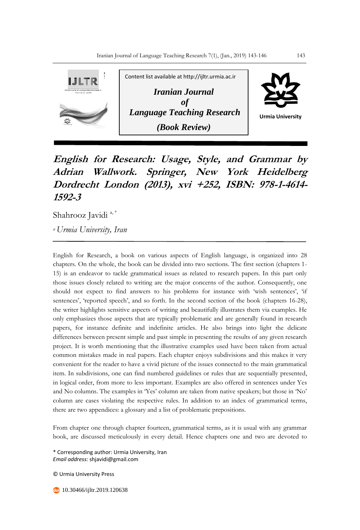

## **English for Research: Usage, Style, and Grammar by Adrian Wallwork. Springer, New York Heidelberg Dordrecht London (2013), xvi +252, ISBN: 978-1-4614- 1592-3**

Shahrooz Javidi<sup>a,\*</sup>

*<sup>a</sup>Urmia University, Iran*

English for Research, a book on various aspects of English language, is organized into 28 chapters. On the whole, the book can be divided into two sections. The first section (chapters 1- 15) is an endeavor to tackle grammatical issues as related to research papers. In this part only those issues closely related to writing are the major concerns of the author. Consequently, one should not expect to find answers to his problems for instance with 'wish sentences', 'if sentences', 'reported speech', and so forth. In the second section of the book (chapters 16-28), the writer highlights sensitive aspects of writing and beautifully illustrates them via examples. He only emphasizes those aspects that are typically problematic and are generally found in research papers, for instance definite and indefinite articles. He also brings into light the delicate differences between present simple and past simple in presenting the results of any given research project. It is worth mentioning that the illustrative examples used have been taken from actual common mistakes made in real papers. Each chapter enjoys subdivisions and this makes it very convenient for the reader to have a vivid picture of the issues connected to the main grammatical item. In subdivisions, one can find numbered guidelines or rules that are sequentially presented, in logical order, from more to less important. Examples are also offered in sentences under Yes and No columns. The examples in 'Yes' column are taken from native speakers; but those in 'No' column are cases violating the respective rules. In addition to an index of grammatical terms, there are two appendices: a glossary and a list of problematic prepositions.

From chapter one through chapter fourteen, grammatical terms, as it is usual with any grammar book, are discussed meticulously in every detail. Hence chapters one and two are devoted to

\* Corresponding author: Urmia University, Iran *Email address:* shjavidi@gmail.com

© Urmia University Press

**10.30466/ijltr.2019.120638**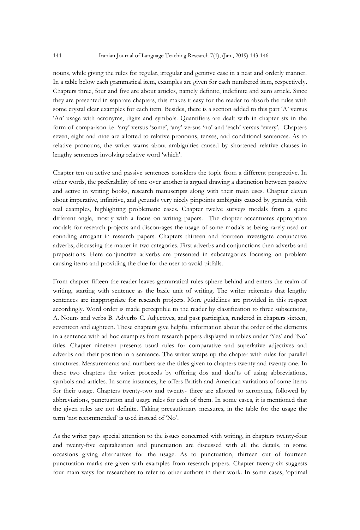nouns, while giving the rules for regular, irregular and genitive case in a neat and orderly manner. In a table below each grammatical item, examples are given for each numbered item, respectively. Chapters three, four and five are about articles, namely definite, indefinite and zero article. Since they are presented in separate chapters, this makes it easy for the reader to absorb the rules with some crystal clear examples for each item. Besides, there is a section added to this part 'A' versus 'An' usage with acronyms, digits and symbols. Quantifiers are dealt with in chapter six in the form of comparison i.e. 'any' versus 'some', 'any' versus 'no' and 'each' versus 'every'. Chapters seven, eight and nine are allotted to relative pronouns, tenses, and conditional sentences. As to relative pronouns, the writer warns about ambiguities caused by shortened relative clauses in lengthy sentences involving relative word 'which'.

Chapter ten on active and passive sentences considers the topic from a different perspective. In other words, the preferability of one over another is argued drawing a distinction between passive and active in writing books, research manuscripts along with their main uses. Chapter eleven about imperative, infinitive, and gerunds very nicely pinpoints ambiguity caused by gerunds, with real examples, highlighting problematic cases. Chapter twelve surveys modals from a quite different angle, mostly with a focus on writing papers. The chapter accentuates appropriate modals for research projects and discourages the usage of some modals as being rarely used or sounding arrogant in research papers. Chapters thirteen and fourteen investigate conjunctive adverbs, discussing the matter in two categories. First adverbs and conjunctions then adverbs and prepositions. Here conjunctive adverbs are presented in subcategories focusing on problem causing items and providing the clue for the user to avoid pitfalls.

From chapter fifteen the reader leaves grammatical rules sphere behind and enters the realm of writing, starting with sentence as the basic unit of writing. The writer reiterates that lengthy sentences are inappropriate for research projects. More guidelines are provided in this respect accordingly. Word order is made perceptible to the reader by classification to three subsections, A. Nouns and verbs B. Adverbs C. Adjectives, and past participles, rendered in chapters sixteen, seventeen and eighteen. These chapters give helpful information about the order of the elements in a sentence with ad hoc examples from research papers displayed in tables under 'Yes' and 'No' titles. Chapter nineteen presents usual rules for comparative and superlative adjectives and adverbs and their position in a sentence. The writer wraps up the chapter with rules for parallel structures. Measurements and numbers are the titles given to chapters twenty and twenty-one. In these two chapters the writer proceeds by offering dos and don'ts of using abbreviations, symbols and articles. In some instances, he offers British and American variations of some items for their usage. Chapters twenty-two and twenty- three are allotted to acronyms, followed by abbreviations, punctuation and usage rules for each of them. In some cases, it is mentioned that the given rules are not definite. Taking precautionary measures, in the table for the usage the term 'not recommended' is used instead of 'No'.

As the writer pays special attention to the issues concerned with writing, in chapters twenty-four and twenty-five capitalization and punctuation are discussed with all the details, in some occasions giving alternatives for the usage. As to punctuation, thirteen out of fourteen punctuation marks are given with examples from research papers. Chapter twenty-six suggests four main ways for researchers to refer to other authors in their work. In some cases, 'optimal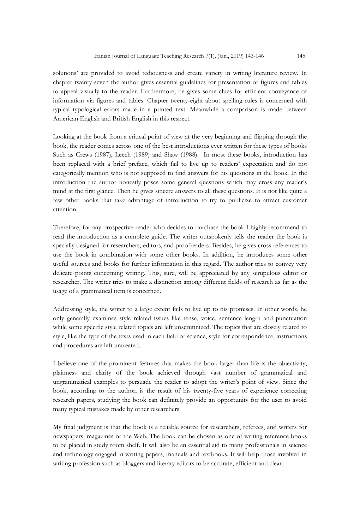solutions' are provided to avoid tediousness and create variety in writing literature review. In chapter twenty-seven the author gives essential guidelines for presentation of figures and tables to appeal visually to the reader. Furthermore, he gives some clues for efficient conveyance of information via figures and tables. Chapter twenty-eight about spelling rules is concerned with typical typological errors made in a printed text. Meanwhile a comparison is made between American English and British English in this respect.

Looking at the book from a critical point of view at the very beginning and flipping through the book, the reader comes across one of the best introductions ever written for these types of books Such as Crews (1987), Leech (1989) and Shaw (1988). In most these books, introduction has been replaced with a brief preface, which fail to live up to readers' expectation and do not categorically mention who is not supposed to find answers for his questions in the book. In the introduction the author honestly poses some general questions which may cross any reader's mind at the first glance. Then he gives sincere answers to all these questions. It is not like quite a few other books that take advantage of introduction to try to publicize to attract customer attention.

Therefore, for any prospective reader who decides to purchase the book I highly recommend to read the introduction as a complete guide. The writer outspokenly tells the reader the book is specially designed for researchers, editors, and proofreaders. Besides, he gives cross references to use the book in combination with some other books. In addition, he introduces some other useful sources and books for further information in this regard. The author tries to convey very delicate points concerning writing. This, sure, will be appreciated by any scrupulous editor or researcher. The writer tries to make a distinction among different fields of research as far as the usage of a grammatical item is concerned.

Addressing style, the writer to a large extent fails to live up to his promises. In other words, he only generally examines style related issues like tense, voice, sentence length and punctuation while some specific style related topics are left unscrutinized. The topics that are closely related to style, like the type of the texts used in each field of science, style for correspondence, instructions and procedures are left untreated.

I believe one of the prominent features that makes the book larger than life is the objectivity, plainness and clarity of the book achieved through vast number of grammatical and ungrammatical examples to persuade the reader to adopt the writer's point of view. Since the book, according to the author, is the result of his twenty-five years of experience correcting research papers, studying the book can definitely provide an opportunity for the user to avoid many typical mistakes made by other researchers.

My final judgment is that the book is a reliable source for researchers, referees, and writers for newspapers, magazines or the Web. The book can be chosen as one of writing reference books to be placed in study room shelf. It will also be an essential aid to many professionals in science and technology engaged in writing papers, manuals and textbooks. It will help those involved in writing profession such as bloggers and literary editors to be accurate, efficient and clear.